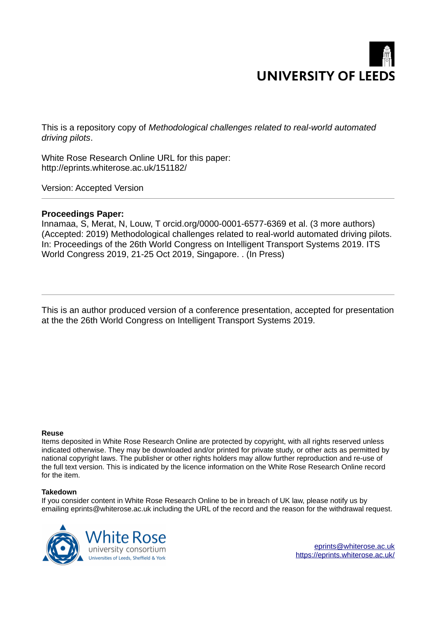

This is a repository copy of *Methodological challenges related to real-world automated driving pilots*.

White Rose Research Online URL for this paper: http://eprints.whiterose.ac.uk/151182/

Version: Accepted Version

# **Proceedings Paper:**

Innamaa, S, Merat, N, Louw, T orcid.org/0000-0001-6577-6369 et al. (3 more authors) (Accepted: 2019) Methodological challenges related to real-world automated driving pilots. In: Proceedings of the 26th World Congress on Intelligent Transport Systems 2019. ITS World Congress 2019, 21-25 Oct 2019, Singapore. . (In Press)

This is an author produced version of a conference presentation, accepted for presentation at the the 26th World Congress on Intelligent Transport Systems 2019.

## **Reuse**

Items deposited in White Rose Research Online are protected by copyright, with all rights reserved unless indicated otherwise. They may be downloaded and/or printed for private study, or other acts as permitted by national copyright laws. The publisher or other rights holders may allow further reproduction and re-use of the full text version. This is indicated by the licence information on the White Rose Research Online record for the item.

## **Takedown**

If you consider content in White Rose Research Online to be in breach of UK law, please notify us by emailing eprints@whiterose.ac.uk including the URL of the record and the reason for the withdrawal request.



[eprints@whiterose.ac.uk](mailto:eprints@whiterose.ac.uk) <https://eprints.whiterose.ac.uk/>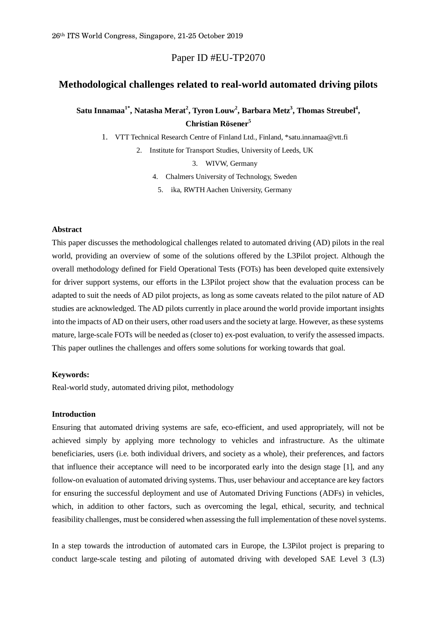Paper ID #EU-TP2070

# **Methodological challenges related to real-world automated driving pilots**

# **Satu Innamaa1\*, Natasha Merat<sup>2</sup> , Tyron Louw<sup>2</sup> , Barbara Metz<sup>3</sup> , Thomas Streubel<sup>4</sup> , Christian Rösener<sup>5</sup>**

1. VTT Technical Research Centre of Finland Ltd., Finland, \*satu.innamaa@vtt.fi

2. Institute for Transport Studies, University of Leeds, UK

3. WIVW, Germany

4. Chalmers University of Technology, Sweden

5. ika, RWTH Aachen University, Germany

# **Abstract**

This paper discusses the methodological challenges related to automated driving (AD) pilots in the real world, providing an overview of some of the solutions offered by the L3Pilot project. Although the overall methodology defined for Field Operational Tests (FOTs) has been developed quite extensively for driver support systems, our efforts in the L3Pilot project show that the evaluation process can be adapted to suit the needs of AD pilot projects, as long as some caveats related to the pilot nature of AD studies are acknowledged. The AD pilots currently in place around the world provide important insights into the impacts of AD on their users, other road users and the society at large. However, as these systems mature, large-scale FOTs will be needed as (closer to) ex-post evaluation, to verify the assessed impacts. This paper outlines the challenges and offers some solutions for working towards that goal.

## **Keywords:**

Real-world study, automated driving pilot, methodology

# **Introduction**

Ensuring that automated driving systems are safe, eco-efficient, and used appropriately, will not be achieved simply by applying more technology to vehicles and infrastructure. As the ultimate beneficiaries, users (i.e. both individual drivers, and society as a whole), their preferences, and factors that influence their acceptance will need to be incorporated early into the design stage [1], and any follow-on evaluation of automated driving systems. Thus, user behaviour and acceptance are key factors for ensuring the successful deployment and use of Automated Driving Functions (ADFs) in vehicles, which, in addition to other factors, such as overcoming the legal, ethical, security, and technical feasibility challenges, must be considered when assessing the full implementation of these novel systems.

In a step towards the introduction of automated cars in Europe, the L3Pilot project is preparing to conduct large-scale testing and piloting of automated driving with developed SAE Level 3 (L3)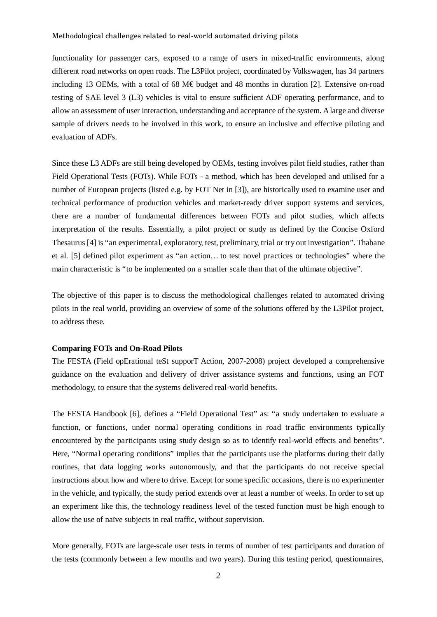functionality for passenger cars, exposed to a range of users in mixed-traffic environments, along different road networks on open roads. The L3Pilot project, coordinated by Volkswagen, has 34 partners including 13 OEMs, with a total of 68 M€ budget and 48 months in duration [2]. Extensive on-road testing of SAE level 3 (L3) vehicles is vital to ensure sufficient ADF operating performance, and to allow an assessment of user interaction, understanding and acceptance of the system. A large and diverse sample of drivers needs to be involved in this work, to ensure an inclusive and effective piloting and evaluation of ADFs.

Since these L3 ADFs are still being developed by OEMs, testing involves pilot field studies, rather than Field Operational Tests (FOTs). While FOTs - a method, which has been developed and utilised for a number of European projects (listed e.g. by FOT Net in [3]), are historically used to examine user and technical performance of production vehicles and market-ready driver support systems and services, there are a number of fundamental differences between FOTs and pilot studies, which affects interpretation of the results. Essentially, a pilot project or study as defined by the Concise Oxford Thesaurus [4] is "an experimental, exploratory, test, preliminary, trial or try out investigation". Thabane et al. [5] defined pilot experiment as "an action… to test novel practices or technologies" where the main characteristic is "to be implemented on a smaller scale than that of the ultimate objective".

The objective of this paper is to discuss the methodological challenges related to automated driving pilots in the real world, providing an overview of some of the solutions offered by the L3Pilot project, to address these.

# **Comparing FOTs and On-Road Pilots**

The FESTA (Field opErational teSt supporT Action, 2007-2008) project developed a comprehensive guidance on the evaluation and delivery of driver assistance systems and functions, using an FOT methodology, to ensure that the systems delivered real-world benefits.

The FESTA Handbook [6], defines a "Field Operational Test" as: "a study undertaken to evaluate a function, or functions, under normal operating conditions in road traffic environments typically encountered by the participants using study design so as to identify real-world effects and benefits". Here, "Normal operating conditions" implies that the participants use the platforms during their daily routines, that data logging works autonomously, and that the participants do not receive special instructions about how and where to drive. Except for some specific occasions, there is no experimenter in the vehicle, and typically, the study period extends over at least a number of weeks. In order to set up an experiment like this, the technology readiness level of the tested function must be high enough to allow the use of naïve subjects in real traffic, without supervision.

More generally, FOTs are large-scale user tests in terms of number of test participants and duration of the tests (commonly between a few months and two years). During this testing period, questionnaires,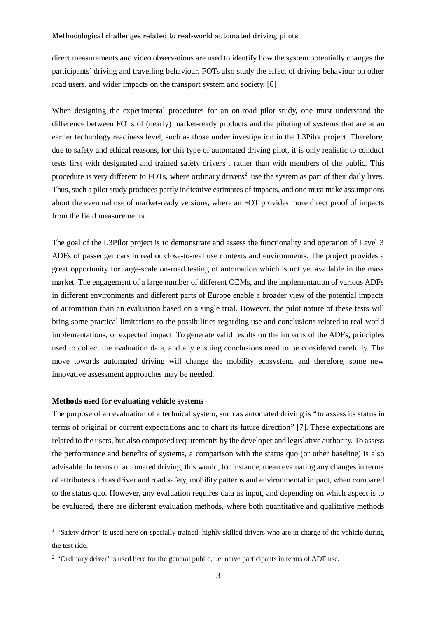direct measurements and video observations are used to identify how the system potentially changes the participants' driving and travelling behaviour. FOTs also study the effect of driving behaviour on other road users, and wider impacts on the transport system and society. [6]

When designing the experimental procedures for an on-road pilot study, one must understand the difference between FOTs of (nearly) market-ready products and the piloting of systems that are at an earlier technology readiness level, such as those under investigation in the L3Pilot project. Therefore, due to safety and ethical reasons, for this type of automated driving pilot, it is only realistic to conduct tests first with designated and trained safety drivers<sup>1</sup>, rather than with members of the public. This procedure is very different to FOTs, where ordinary drivers<sup>2</sup> use the system as part of their daily lives. Thus, such a pilot study produces partly indicative estimates of impacts, and one must make assumptions about the eventual use of market-ready versions, where an FOT provides more direct proof of impacts from the field measurements.

The goal of the L3Pilot project is to demonstrate and assess the functionality and operation of Level 3 ADFs of passenger cars in real or close-to-real use contexts and environments. The project provides a great opportunity for large-scale on-road testing of automation which is not yet available in the mass market. The engagement of a large number of different OEMs, and the implementation of various ADFs in different environments and different parts of Europe enable a broader view of the potential impacts of automation than an evaluation based on a single trial. However, the pilot nature of these tests will bring some practical limitations to the possibilities regarding use and conclusions related to real-world implementations, or expected impact. To generate valid results on the impacts of the ADFs, principles used to collect the evaluation data, and any ensuing conclusions need to be considered carefully. The move towards automated driving will change the mobility ecosystem, and therefore, some new innovative assessment approaches may be needed.

#### **Methods used for evaluating vehicle systems**

The purpose of an evaluation of a technical system, such as automated driving is "to assess its status in terms of original or current expectations and to chart its future direction" [7]. These expectations are related to the users, but also composed requirements by the developer and legislative authority. To assess the performance and benefits of systems, a comparison with the status quo (or other baseline) is also advisable. In terms of automated driving, this would, for instance, mean evaluating any changes in terms of attributes such as driver and road safety, mobility patterns and environmental impact, when compared to the status quo. However, any evaluation requires data as input, and depending on which aspect is to be evaluated, there are different evaluation methods, where both quantitative and qualitative methods

<sup>&</sup>lt;sup>1</sup> 'Safety driver' is used here on specially trained, highly skilled drivers who are in charge of the vehicle during the test ride.

<sup>&</sup>lt;sup>2</sup> 'Ordinary driver' is used here for the general public, i.e. naïve participants in terms of ADF use.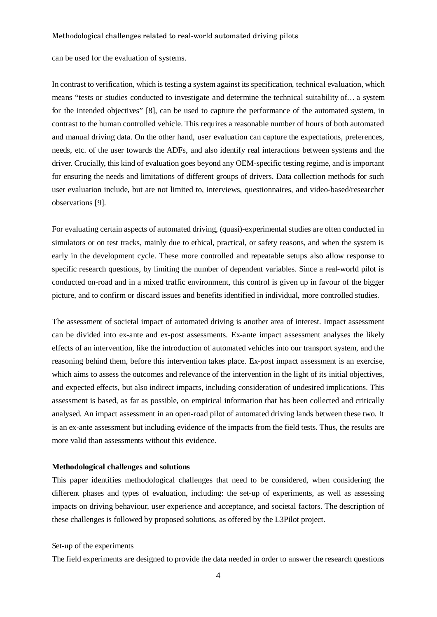can be used for the evaluation of systems.

In contrast to verification, which is testing a system against its specification, technical evaluation, which means "tests or studies conducted to investigate and determine the technical suitability of… a system for the intended objectives" [8], can be used to capture the performance of the automated system, in contrast to the human controlled vehicle. This requires a reasonable number of hours of both automated and manual driving data. On the other hand, user evaluation can capture the expectations, preferences, needs, etc. of the user towards the ADFs, and also identify real interactions between systems and the driver. Crucially, this kind of evaluation goes beyond any OEM-specific testing regime, and is important for ensuring the needs and limitations of different groups of drivers. Data collection methods for such user evaluation include, but are not limited to, interviews, questionnaires, and video-based/researcher observations [9].

For evaluating certain aspects of automated driving, (quasi)-experimental studies are often conducted in simulators or on test tracks, mainly due to ethical, practical, or safety reasons, and when the system is early in the development cycle. These more controlled and repeatable setups also allow response to specific research questions, by limiting the number of dependent variables. Since a real-world pilot is conducted on-road and in a mixed traffic environment, this control is given up in favour of the bigger picture, and to confirm or discard issues and benefits identified in individual, more controlled studies.

The assessment of societal impact of automated driving is another area of interest. Impact assessment can be divided into ex-ante and ex-post assessments. Ex-ante impact assessment analyses the likely effects of an intervention, like the introduction of automated vehicles into our transport system, and the reasoning behind them, before this intervention takes place. Ex-post impact assessment is an exercise, which aims to assess the outcomes and relevance of the intervention in the light of its initial objectives, and expected effects, but also indirect impacts, including consideration of undesired implications. This assessment is based, as far as possible, on empirical information that has been collected and critically analysed. An impact assessment in an open-road pilot of automated driving lands between these two. It is an ex-ante assessment but including evidence of the impacts from the field tests. Thus, the results are more valid than assessments without this evidence.

#### **Methodological challenges and solutions**

This paper identifies methodological challenges that need to be considered, when considering the different phases and types of evaluation, including: the set-up of experiments, as well as assessing impacts on driving behaviour, user experience and acceptance, and societal factors. The description of these challenges is followed by proposed solutions, as offered by the L3Pilot project.

#### Set-up of the experiments

The field experiments are designed to provide the data needed in order to answer the research questions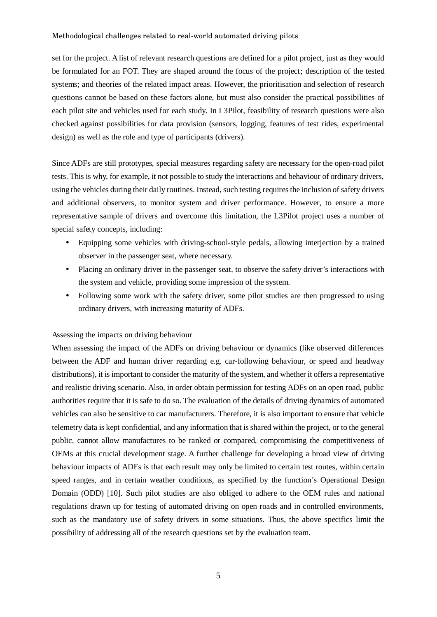set for the project. A list of relevant research questions are defined for a pilot project, just as they would be formulated for an FOT. They are shaped around the focus of the project; description of the tested systems; and theories of the related impact areas. However, the prioritisation and selection of research questions cannot be based on these factors alone, but must also consider the practical possibilities of each pilot site and vehicles used for each study. In L3Pilot, feasibility of research questions were also checked against possibilities for data provision (sensors, logging, features of test rides, experimental design) as well as the role and type of participants (drivers).

Since ADFs are still prototypes, special measures regarding safety are necessary for the open-road pilot tests. This is why, for example, it not possible to study the interactions and behaviour of ordinary drivers, using the vehicles during their daily routines. Instead, such testing requires the inclusion of safety drivers and additional observers, to monitor system and driver performance. However, to ensure a more representative sample of drivers and overcome this limitation, the L3Pilot project uses a number of special safety concepts, including:

- Equipping some vehicles with driving-school-style pedals, allowing interjection by a trained observer in the passenger seat, where necessary.
- Placing an ordinary driver in the passenger seat, to observe the safety driver's interactions with the system and vehicle, providing some impression of the system.
- Following some work with the safety driver, some pilot studies are then progressed to using ordinary drivers, with increasing maturity of ADFs.

#### Assessing the impacts on driving behaviour

When assessing the impact of the ADFs on driving behaviour or dynamics (like observed differences between the ADF and human driver regarding e.g. car-following behaviour, or speed and headway distributions), it is important to consider the maturity of the system, and whether it offers a representative and realistic driving scenario. Also, in order obtain permission for testing ADFs on an open road, public authorities require that it is safe to do so. The evaluation of the details of driving dynamics of automated vehicles can also be sensitive to car manufacturers. Therefore, it is also important to ensure that vehicle telemetry data is kept confidential, and any information that is shared within the project, or to the general public, cannot allow manufactures to be ranked or compared, compromising the competitiveness of OEMs at this crucial development stage. A further challenge for developing a broad view of driving behaviour impacts of ADFs is that each result may only be limited to certain test routes, within certain speed ranges, and in certain weather conditions, as specified by the function's Operational Design Domain (ODD) [10]. Such pilot studies are also obliged to adhere to the OEM rules and national regulations drawn up for testing of automated driving on open roads and in controlled environments, such as the mandatory use of safety drivers in some situations. Thus, the above specifics limit the possibility of addressing all of the research questions set by the evaluation team.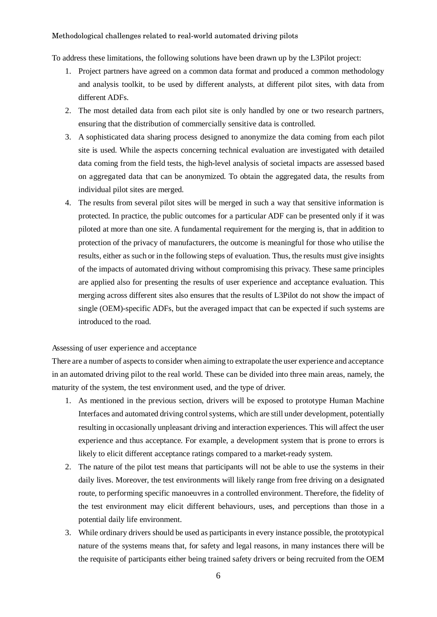To address these limitations, the following solutions have been drawn up by the L3Pilot project:

- 1. Project partners have agreed on a common data format and produced a common methodology and analysis toolkit, to be used by different analysts, at different pilot sites, with data from different ADFs.
- 2. The most detailed data from each pilot site is only handled by one or two research partners, ensuring that the distribution of commercially sensitive data is controlled.
- 3. A sophisticated data sharing process designed to anonymize the data coming from each pilot site is used. While the aspects concerning technical evaluation are investigated with detailed data coming from the field tests, the high-level analysis of societal impacts are assessed based on aggregated data that can be anonymized. To obtain the aggregated data, the results from individual pilot sites are merged.
- 4. The results from several pilot sites will be merged in such a way that sensitive information is protected. In practice, the public outcomes for a particular ADF can be presented only if it was piloted at more than one site. A fundamental requirement for the merging is, that in addition to protection of the privacy of manufacturers, the outcome is meaningful for those who utilise the results, either as such or in the following steps of evaluation. Thus, the results must give insights of the impacts of automated driving without compromising this privacy. These same principles are applied also for presenting the results of user experience and acceptance evaluation. This merging across different sites also ensures that the results of L3Pilot do not show the impact of single (OEM)-specific ADFs, but the averaged impact that can be expected if such systems are introduced to the road.

# Assessing of user experience and acceptance

There are a number of aspects to consider when aiming to extrapolate the user experience and acceptance in an automated driving pilot to the real world. These can be divided into three main areas, namely, the maturity of the system, the test environment used, and the type of driver.

- 1. As mentioned in the previous section, drivers will be exposed to prototype Human Machine Interfaces and automated driving control systems, which are still under development, potentially resulting in occasionally unpleasant driving and interaction experiences. This will affect the user experience and thus acceptance. For example, a development system that is prone to errors is likely to elicit different acceptance ratings compared to a market-ready system.
- 2. The nature of the pilot test means that participants will not be able to use the systems in their daily lives. Moreover, the test environments will likely range from free driving on a designated route, to performing specific manoeuvres in a controlled environment. Therefore, the fidelity of the test environment may elicit different behaviours, uses, and perceptions than those in a potential daily life environment.
- 3. While ordinary drivers should be used as participants in every instance possible, the prototypical nature of the systems means that, for safety and legal reasons, in many instances there will be the requisite of participants either being trained safety drivers or being recruited from the OEM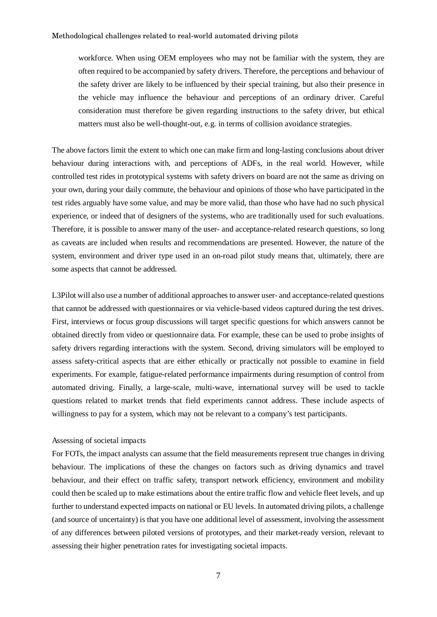workforce. When using OEM employees who may not be familiar with the system, they are often required to be accompanied by safety drivers. Therefore, the perceptions and behaviour of the safety driver are likely to be influenced by their special training, but also their presence in the vehicle may influence the behaviour and perceptions of an ordinary driver. Careful consideration must therefore be given regarding instructions to the safety driver, but ethical matters must also be well-thought-out, e.g. in terms of collision avoidance strategies.

The above factors limit the extent to which one can make firm and long-lasting conclusions about driver behaviour during interactions with, and perceptions of ADFs, in the real world. However, while controlled test rides in prototypical systems with safety drivers on board are not the same as driving on your own, during your daily commute, the behaviour and opinions of those who have participated in the test rides arguably have some value, and may be more valid, than those who have had no such physical experience, or indeed that of designers of the systems, who are traditionally used for such evaluations. Therefore, it is possible to answer many of the user- and acceptance-related research questions, so long as caveats are included when results and recommendations are presented. However, the nature of the system, environment and driver type used in an on-road pilot study means that, ultimately, there are some aspects that cannot be addressed.

L3Pilot will also use a number of additional approaches to answer user- and acceptance-related questions that cannot be addressed with questionnaires or via vehicle-based videos captured during the test drives. First, interviews or focus group discussions will target specific questions for which answers cannot be obtained directly from video or questionnaire data. For example, these can be used to probe insights of safety drivers regarding interactions with the system. Second, driving simulators will be employed to assess safety-critical aspects that are either ethically or practically not possible to examine in field experiments. For example, fatigue-related performance impairments during resumption of control from automated driving. Finally, a large-scale, multi-wave, international survey will be used to tackle questions related to market trends that field experiments cannot address. These include aspects of willingness to pay for a system, which may not be relevant to a company's test participants.

# Assessing of societal impacts

For FOTs, the impact analysts can assume that the field measurements represent true changes in driving behaviour. The implications of these the changes on factors such as driving dynamics and travel behaviour, and their effect on traffic safety, transport network efficiency, environment and mobility could then be scaled up to make estimations about the entire traffic flow and vehicle fleet levels, and up further to understand expected impacts on national or EU levels. In automated driving pilots, a challenge (and source of uncertainty) is that you have one additional level of assessment, involving the assessment of any differences between piloted versions of prototypes, and their market-ready version, relevant to assessing their higher penetration rates for investigating societal impacts.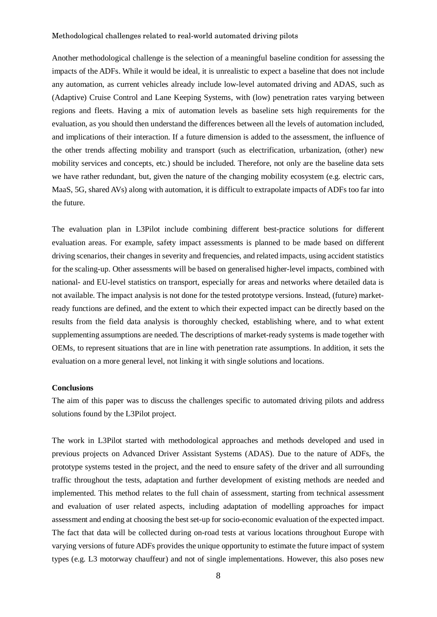Another methodological challenge is the selection of a meaningful baseline condition for assessing the impacts of the ADFs. While it would be ideal, it is unrealistic to expect a baseline that does not include any automation, as current vehicles already include low-level automated driving and ADAS, such as (Adaptive) Cruise Control and Lane Keeping Systems, with (low) penetration rates varying between regions and fleets. Having a mix of automation levels as baseline sets high requirements for the evaluation, as you should then understand the differences between all the levels of automation included, and implications of their interaction. If a future dimension is added to the assessment, the influence of the other trends affecting mobility and transport (such as electrification, urbanization, (other) new mobility services and concepts, etc.) should be included. Therefore, not only are the baseline data sets we have rather redundant, but, given the nature of the changing mobility ecosystem (e.g. electric cars, MaaS, 5G, shared AVs) along with automation, it is difficult to extrapolate impacts of ADFs too far into the future.

The evaluation plan in L3Pilot include combining different best-practice solutions for different evaluation areas. For example, safety impact assessments is planned to be made based on different driving scenarios, their changes in severity and frequencies, and related impacts, using accident statistics for the scaling-up. Other assessments will be based on generalised higher-level impacts, combined with national- and EU-level statistics on transport, especially for areas and networks where detailed data is not available. The impact analysis is not done for the tested prototype versions. Instead, (future) marketready functions are defined, and the extent to which their expected impact can be directly based on the results from the field data analysis is thoroughly checked, establishing where, and to what extent supplementing assumptions are needed. The descriptions of market-ready systems is made together with OEMs, to represent situations that are in line with penetration rate assumptions. In addition, it sets the evaluation on a more general level, not linking it with single solutions and locations.

#### **Conclusions**

The aim of this paper was to discuss the challenges specific to automated driving pilots and address solutions found by the L3Pilot project.

The work in L3Pilot started with methodological approaches and methods developed and used in previous projects on Advanced Driver Assistant Systems (ADAS). Due to the nature of ADFs, the prototype systems tested in the project, and the need to ensure safety of the driver and all surrounding traffic throughout the tests, adaptation and further development of existing methods are needed and implemented. This method relates to the full chain of assessment, starting from technical assessment and evaluation of user related aspects, including adaptation of modelling approaches for impact assessment and ending at choosing the best set-up for socio-economic evaluation of the expected impact. The fact that data will be collected during on-road tests at various locations throughout Europe with varying versions of future ADFs provides the unique opportunity to estimate the future impact of system types (e.g. L3 motorway chauffeur) and not of single implementations. However, this also poses new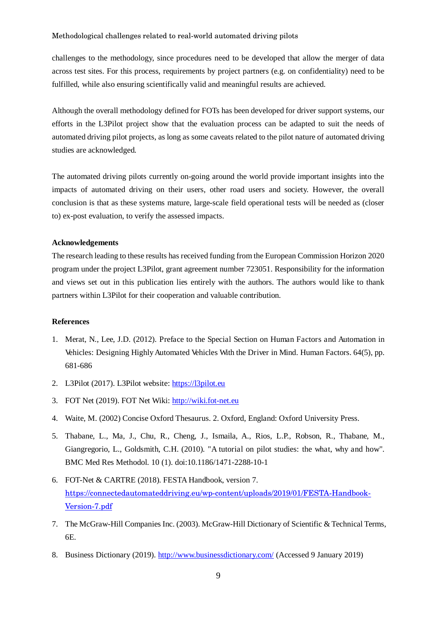challenges to the methodology, since procedures need to be developed that allow the merger of data across test sites. For this process, requirements by project partners (e.g. on confidentiality) need to be fulfilled, while also ensuring scientifically valid and meaningful results are achieved.

Although the overall methodology defined for FOTs has been developed for driver support systems, our efforts in the L3Pilot project show that the evaluation process can be adapted to suit the needs of automated driving pilot projects, as long as some caveats related to the pilot nature of automated driving studies are acknowledged.

The automated driving pilots currently on-going around the world provide important insights into the impacts of automated driving on their users, other road users and society. However, the overall conclusion is that as these systems mature, large-scale field operational tests will be needed as (closer to) ex-post evaluation, to verify the assessed impacts.

# **Acknowledgements**

The research leading to these results has received funding from the European Commission Horizon 2020 program under the project L3Pilot, grant agreement number 723051. Responsibility for the information and views set out in this publication lies entirely with the authors. The authors would like to thank partners within L3Pilot for their cooperation and valuable contribution.

## **References**

- 1. Merat, N., Lee, J.D. (2012). Preface to the Special Section on Human Factors and Automation in Vehicles: Designing Highly Automated Vehicles With the Driver in Mind. Human Factors. 64(5), pp. 681-686
- 2. L3Pilot (2017). L3Pilot website: https://l3pilot.eu
- 3. FOT Net (2019). FOT Net Wiki: http://wiki.fot-net.eu
- 4. Waite, M. (2002) Concise Oxford Thesaurus. 2. Oxford, England: Oxford University Press.
- 5. Thabane, L., Ma, J., Chu, R., Cheng, J., Ismaila, A., Rios, L.P., Robson, R., Thabane, M., Giangregorio, L., Goldsmith, C.H. (2010). "A tutorial on pilot studies: the what, why and how". BMC Med Res Methodol. 10 (1). doi:10.1186/1471-2288-10-1
- 6. FOT-Net & CARTRE (2018). FESTA Handbook, version 7. https://connectedautomateddriving.eu/wp-content/uploads/2019/01/FESTA-Handbook-Version-7.pdf
- 7. The McGraw-Hill Companies Inc. (2003). McGraw-Hill Dictionary of Scientific & Technical Terms, 6E.
- 8. Business Dictionary (2019). http://www.businessdictionary.com/ (Accessed 9 January 2019)